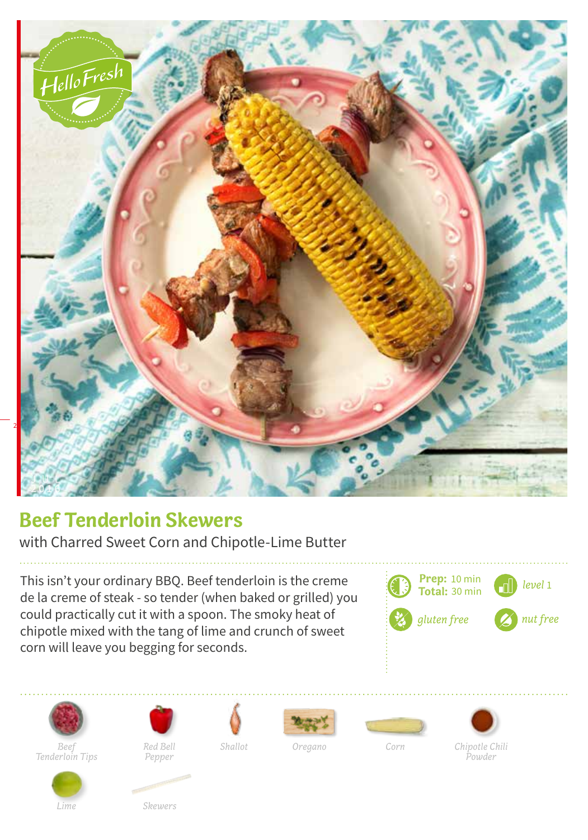

## **Beef Tenderloin Skewers**

with Charred Sweet Corn and Chipotle-Lime Butter

This isn't your ordinary BBQ. Beef tenderloin is the creme de la creme of steak - so tender (when baked or grilled) you could practically cut it with a spoon. The smoky heat of chipotle mixed with the tang of lime and crunch of sweet corn will leave you begging for seconds.





*Beef Corn Tenderloin Tips*



*Pepper*

*Red Bell Shallot Oregano*







*Powder*